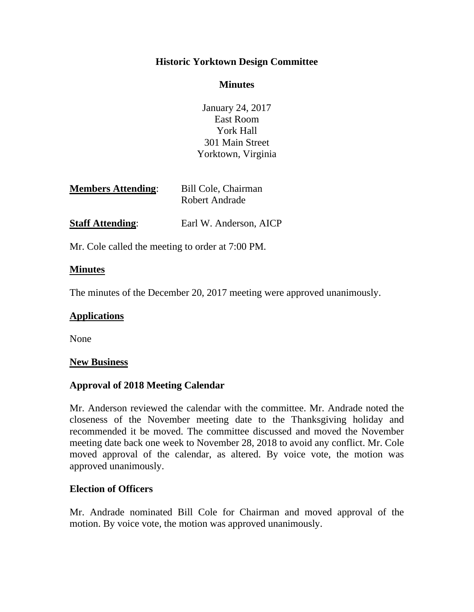# **Historic Yorktown Design Committee**

# **Minutes**

January 24, 2017 East Room York Hall 301 Main Street Yorktown, Virginia

| <b>Members Attending:</b> | Bill Cole, Chairman |
|---------------------------|---------------------|
|                           | Robert Andrade      |
|                           |                     |

**Staff Attending:** Earl W. Anderson, AICP

Mr. Cole called the meeting to order at 7:00 PM.

# **Minutes**

The minutes of the December 20, 2017 meeting were approved unanimously.

# **Applications**

None

# **New Business**

# **Approval of 2018 Meeting Calendar**

Mr. Anderson reviewed the calendar with the committee. Mr. Andrade noted the closeness of the November meeting date to the Thanksgiving holiday and recommended it be moved. The committee discussed and moved the November meeting date back one week to November 28, 2018 to avoid any conflict. Mr. Cole moved approval of the calendar, as altered. By voice vote, the motion was approved unanimously.

# **Election of Officers**

Mr. Andrade nominated Bill Cole for Chairman and moved approval of the motion. By voice vote, the motion was approved unanimously.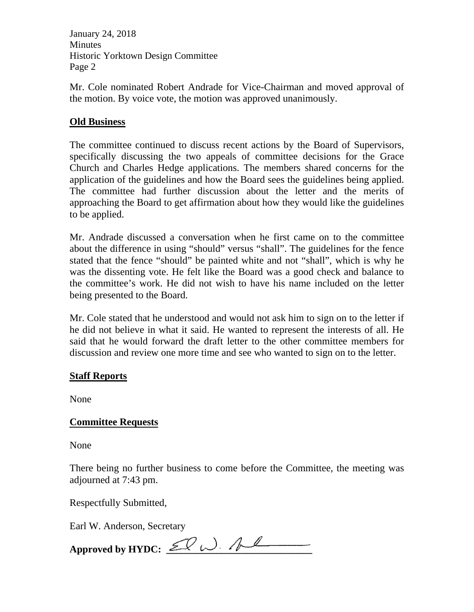January 24, 2018 Minutes Historic Yorktown Design Committee Page 2

Mr. Cole nominated Robert Andrade for Vice-Chairman and moved approval of the motion. By voice vote, the motion was approved unanimously.

# **Old Business**

The committee continued to discuss recent actions by the Board of Supervisors, specifically discussing the two appeals of committee decisions for the Grace Church and Charles Hedge applications. The members shared concerns for the application of the guidelines and how the Board sees the guidelines being applied. The committee had further discussion about the letter and the merits of approaching the Board to get affirmation about how they would like the guidelines to be applied.

Mr. Andrade discussed a conversation when he first came on to the committee about the difference in using "should" versus "shall". The guidelines for the fence stated that the fence "should" be painted white and not "shall", which is why he was the dissenting vote. He felt like the Board was a good check and balance to the committee's work. He did not wish to have his name included on the letter being presented to the Board.

Mr. Cole stated that he understood and would not ask him to sign on to the letter if he did not believe in what it said. He wanted to represent the interests of all. He said that he would forward the draft letter to the other committee members for discussion and review one more time and see who wanted to sign on to the letter.

# **Staff Reports**

None

# **Committee Requests**

None

There being no further business to come before the Committee, the meeting was adjourned at 7:43 pm.

Respectfully Submitted,

Earl W. Anderson, Secretary

Approved by HYDC:  $\mathcal{L}$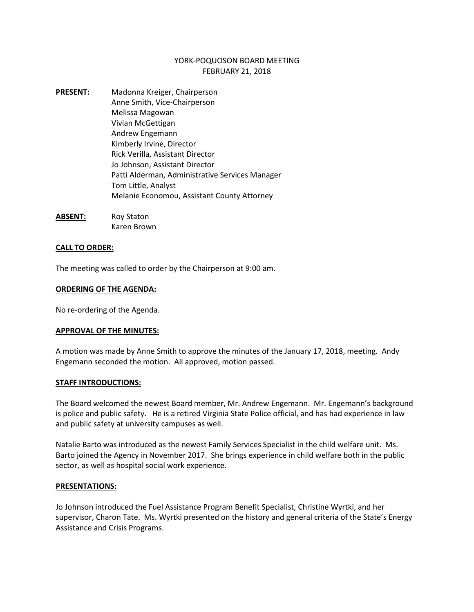# YORK-POQUOSON BOARD MEETING FEBRUARY 21, 2018

- **PRESENT:** Madonna Kreiger, Chairperson Anne Smith, Vice-Chairperson Melissa Magowan Vivian McGettigan Andrew Engemann Kimberly Irvine, Director Rick Verilla, Assistant Director Jo Johnson, Assistant Director Patti Alderman, Administrative Services Manager Tom Little, Analyst Melanie Economou, Assistant County Attorney
- **ABSENT:** Roy Staton Karen Brown

### **CALL TO ORDER:**

The meeting was called to order by the Chairperson at 9:00 am.

### **ORDERING OF THE AGENDA:**

No re-ordering of the Agenda.

### **APPROVAL OF THE MINUTES:**

A motion was made by Anne Smith to approve the minutes of the January 17, 2018, meeting. Andy Engemann seconded the motion. All approved, motion passed.

### **STAFF INTRODUCTIONS:**

The Board welcomed the newest Board member, Mr. Andrew Engemann. Mr. Engemann's background is police and public safety. He is a retired Virginia State Police official, and has had experience in law and public safety at university campuses as well.

Natalie Barto was introduced as the newest Family Services Specialist in the child welfare unit. Ms. Barto joined the Agency in November 2017. She brings experience in child welfare both in the public sector, as well as hospital social work experience.

### **PRESENTATIONS:**

Jo Johnson introduced the Fuel Assistance Program Benefit Specialist, Christine Wyrtki, and her supervisor, Charon Tate. Ms. Wyrtki presented on the history and general criteria of the State's Energy Assistance and Crisis Programs.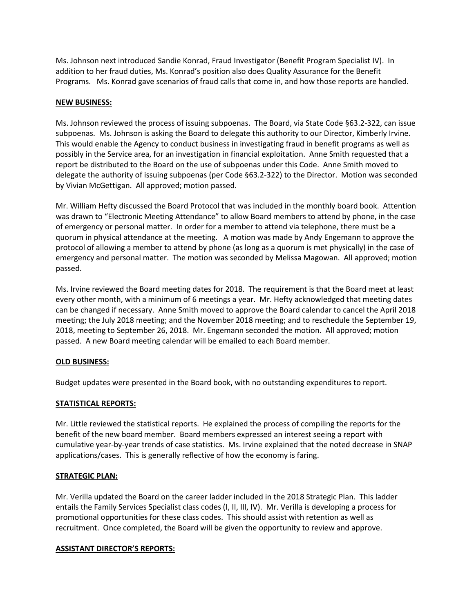Ms. Johnson next introduced Sandie Konrad, Fraud Investigator (Benefit Program Specialist IV). In addition to her fraud duties, Ms. Konrad's position also does Quality Assurance for the Benefit Programs. Ms. Konrad gave scenarios of fraud calls that come in, and how those reports are handled.

# **NEW BUSINESS:**

Ms. Johnson reviewed the process of issuing subpoenas. The Board, via State Code §63.2-322, can issue subpoenas. Ms. Johnson is asking the Board to delegate this authority to our Director, Kimberly Irvine. This would enable the Agency to conduct business in investigating fraud in benefit programs as well as possibly in the Service area, for an investigation in financial exploitation. Anne Smith requested that a report be distributed to the Board on the use of subpoenas under this Code. Anne Smith moved to delegate the authority of issuing subpoenas (per Code §63.2-322) to the Director. Motion was seconded by Vivian McGettigan. All approved; motion passed.

Mr. William Hefty discussed the Board Protocol that was included in the monthly board book. Attention was drawn to "Electronic Meeting Attendance" to allow Board members to attend by phone, in the case of emergency or personal matter. In order for a member to attend via telephone, there must be a quorum in physical attendance at the meeting. A motion was made by Andy Engemann to approve the protocol of allowing a member to attend by phone (as long as a quorum is met physically) in the case of emergency and personal matter. The motion was seconded by Melissa Magowan. All approved; motion passed.

Ms. Irvine reviewed the Board meeting dates for 2018. The requirement is that the Board meet at least every other month, with a minimum of 6 meetings a year. Mr. Hefty acknowledged that meeting dates can be changed if necessary. Anne Smith moved to approve the Board calendar to cancel the April 2018 meeting; the July 2018 meeting; and the November 2018 meeting; and to reschedule the September 19, 2018, meeting to September 26, 2018. Mr. Engemann seconded the motion. All approved; motion passed. A new Board meeting calendar will be emailed to each Board member.

# **OLD BUSINESS:**

Budget updates were presented in the Board book, with no outstanding expenditures to report.

# **STATISTICAL REPORTS:**

Mr. Little reviewed the statistical reports. He explained the process of compiling the reports for the benefit of the new board member. Board members expressed an interest seeing a report with cumulative year-by-year trends of case statistics. Ms. Irvine explained that the noted decrease in SNAP applications/cases. This is generally reflective of how the economy is faring.

# **STRATEGIC PLAN:**

Mr. Verilla updated the Board on the career ladder included in the 2018 Strategic Plan. This ladder entails the Family Services Specialist class codes (I, II, III, IV). Mr. Verilla is developing a process for promotional opportunities for these class codes. This should assist with retention as well as recruitment. Once completed, the Board will be given the opportunity to review and approve.

# **ASSISTANT DIRECTOR'S REPORTS:**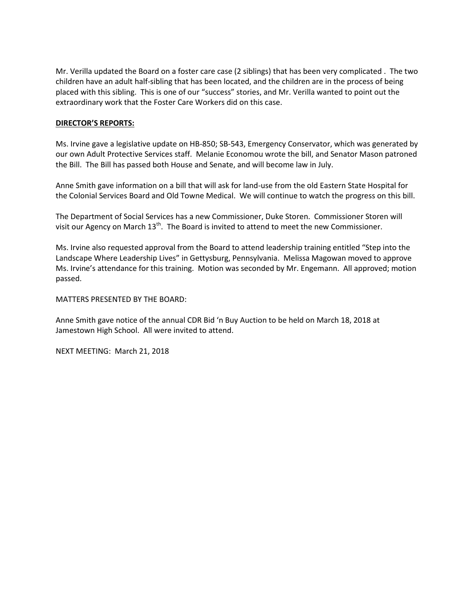Mr. Verilla updated the Board on a foster care case (2 siblings) that has been very complicated . The two children have an adult half-sibling that has been located, and the children are in the process of being placed with this sibling. This is one of our "success" stories, and Mr. Verilla wanted to point out the extraordinary work that the Foster Care Workers did on this case.

# **DIRECTOR'S REPORTS:**

Ms. Irvine gave a legislative update on HB-850; SB-543, Emergency Conservator, which was generated by our own Adult Protective Services staff. Melanie Economou wrote the bill, and Senator Mason patroned the Bill. The Bill has passed both House and Senate, and will become law in July.

Anne Smith gave information on a bill that will ask for land-use from the old Eastern State Hospital for the Colonial Services Board and Old Towne Medical. We will continue to watch the progress on this bill.

The Department of Social Services has a new Commissioner, Duke Storen. Commissioner Storen will visit our Agency on March  $13<sup>th</sup>$ . The Board is invited to attend to meet the new Commissioner.

Ms. Irvine also requested approval from the Board to attend leadership training entitled "Step into the Landscape Where Leadership Lives" in Gettysburg, Pennsylvania. Melissa Magowan moved to approve Ms. Irvine's attendance for this training. Motion was seconded by Mr. Engemann. All approved; motion passed.

MATTERS PRESENTED BY THE BOARD:

Anne Smith gave notice of the annual CDR Bid 'n Buy Auction to be held on March 18, 2018 at Jamestown High School. All were invited to attend.

NEXT MEETING: March 21, 2018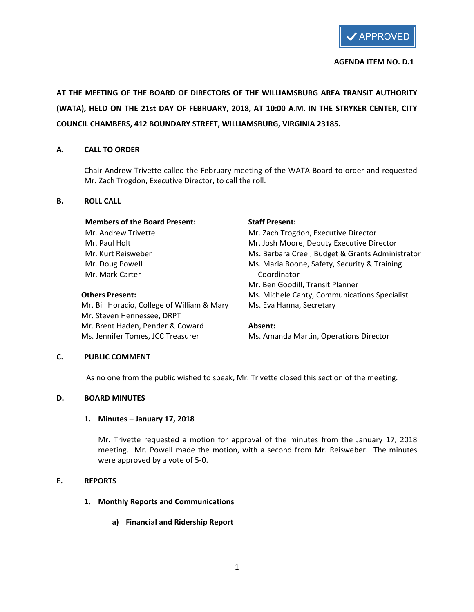

### AGENDA ITEM NO. D.1

AT THE MEETING OF THE BOARD OF DIRECTORS OF THE WILLIAMSBURG AREA TRANSIT AUTHORITY (WATA), HELD ON THE 21st DAY OF FEBRUARY, 2018, AT 10:00 A.M. IN THE STRYKER CENTER, CITY COUNCIL CHAMBERS, 412 BOUNDARY STREET, WILLIAMSBURG, VIRGINIA 23185.

## A. CALL TO ORDER

Chair Andrew Trivette called the February meeting of the WATA Board to order and requested Mr. Zach Trogdon, Executive Director, to call the roll.

## B. ROLL CALL

### Members of the Board Present: Staff Present:

Mr. Mark Carter Coordinator

Mr. Bill Horacio, College of William & Mary Ms. Eva Hanna, Secretary Mr. Steven Hennessee, DRPT Mr. Brent Haden, Pender & Coward **Absent:** Ms. Jennifer Tomes, JCC Treasurer Ms. Amanda Martin, Operations Director

Mr. Andrew Trivette Mr. Zach Trogdon, Executive Director Mr. Paul Holt Mr. Josh Moore, Deputy Executive Director Mr. Kurt Reisweber **Mr. Kurt Reisweber** Ms. Barbara Creel, Budget & Grants Administrator Mr. Doug Powell **Maria Boone**, Safety, Security & Training Mr. Ben Goodill, Transit Planner Others Present: Ms. Michele Canty, Communications Specialist

# C. PUBLIC COMMENT

As no one from the public wished to speak, Mr. Trivette closed this section of the meeting.

# D. BOARD MINUTES

# 1. Minutes – January 17, 2018

Mr. Trivette requested a motion for approval of the minutes from the January 17, 2018 meeting. Mr. Powell made the motion, with a second from Mr. Reisweber. The minutes were approved by a vote of 5-0.

## E. REPORTS

# 1. Monthly Reports and Communications

a) Financial and Ridership Report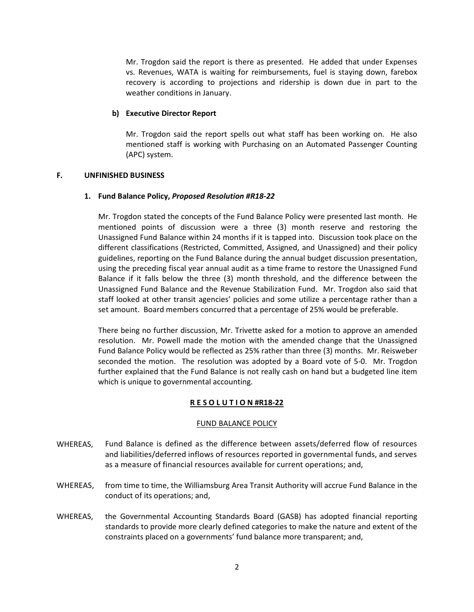Mr. Trogdon said the report is there as presented. He added that under Expenses vs. Revenues, WATA is waiting for reimbursements, fuel is staying down, farebox recovery is according to projections and ridership is down due in part to the weather conditions in January.

### b) Executive Director Report

Mr. Trogdon said the report spells out what staff has been working on. He also mentioned staff is working with Purchasing on an Automated Passenger Counting (APC) system.

### F. UNFINISHED BUSINESS

### 1. Fund Balance Policy, Proposed Resolution #R18-22

Mr. Trogdon stated the concepts of the Fund Balance Policy were presented last month. He mentioned points of discussion were a three (3) month reserve and restoring the Unassigned Fund Balance within 24 months if it is tapped into. Discussion took place on the different classifications (Restricted, Committed, Assigned, and Unassigned) and their policy guidelines, reporting on the Fund Balance during the annual budget discussion presentation, using the preceding fiscal year annual audit as a time frame to restore the Unassigned Fund Balance if it falls below the three (3) month threshold, and the difference between the Unassigned Fund Balance and the Revenue Stabilization Fund. Mr. Trogdon also said that staff looked at other transit agencies' policies and some utilize a percentage rather than a set amount. Board members concurred that a percentage of 25% would be preferable.

There being no further discussion, Mr. Trivette asked for a motion to approve an amended resolution. Mr. Powell made the motion with the amended change that the Unassigned Fund Balance Policy would be reflected as 25% rather than three (3) months. Mr. Reisweber seconded the motion. The resolution was adopted by a Board vote of 5-0. Mr. Trogdon further explained that the Fund Balance is not really cash on hand but a budgeted line item which is unique to governmental accounting.

### R E S O L U T I O N #R18-22

### FUND BALANCE POLICY

- WHEREAS, Fund Balance is defined as the difference between assets/deferred flow of resources and liabilities/deferred inflows of resources reported in governmental funds, and serves as a measure of financial resources available for current operations; and,
- WHEREAS, from time to time, the Williamsburg Area Transit Authority will accrue Fund Balance in the conduct of its operations; and,
- WHEREAS, the Governmental Accounting Standards Board (GASB) has adopted financial reporting standards to provide more clearly defined categories to make the nature and extent of the constraints placed on a governments' fund balance more transparent; and,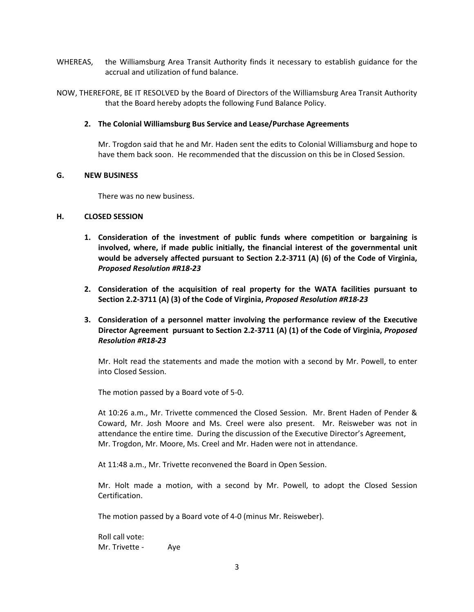- WHEREAS, the Williamsburg Area Transit Authority finds it necessary to establish guidance for the accrual and utilization of fund balance.
- NOW, THEREFORE, BE IT RESOLVED by the Board of Directors of the Williamsburg Area Transit Authority that the Board hereby adopts the following Fund Balance Policy.

## 2. The Colonial Williamsburg Bus Service and Lease/Purchase Agreements

Mr. Trogdon said that he and Mr. Haden sent the edits to Colonial Williamsburg and hope to have them back soon. He recommended that the discussion on this be in Closed Session.

### G. NEW BUSINESS

There was no new business.

## H. CLOSED SESSION

- 1. Consideration of the investment of public funds where competition or bargaining is involved, where, if made public initially, the financial interest of the governmental unit would be adversely affected pursuant to Section 2.2-3711 (A) (6) of the Code of Virginia, Proposed Resolution #R18-23
- 2. Consideration of the acquisition of real property for the WATA facilities pursuant to Section 2.2-3711 (A) (3) of the Code of Virginia, Proposed Resolution #R18-23
- 3. Consideration of a personnel matter involving the performance review of the Executive Director Agreement pursuant to Section 2.2-3711 (A) (1) of the Code of Virginia, Proposed Resolution #R18-23

Mr. Holt read the statements and made the motion with a second by Mr. Powell, to enter into Closed Session.

The motion passed by a Board vote of 5-0.

At 10:26 a.m., Mr. Trivette commenced the Closed Session. Mr. Brent Haden of Pender & Coward, Mr. Josh Moore and Ms. Creel were also present. Mr. Reisweber was not in attendance the entire time. During the discussion of the Executive Director's Agreement, Mr. Trogdon, Mr. Moore, Ms. Creel and Mr. Haden were not in attendance.

At 11:48 a.m., Mr. Trivette reconvened the Board in Open Session.

Mr. Holt made a motion, with a second by Mr. Powell, to adopt the Closed Session Certification.

The motion passed by a Board vote of 4-0 (minus Mr. Reisweber).

Roll call vote: Mr. Trivette - Aye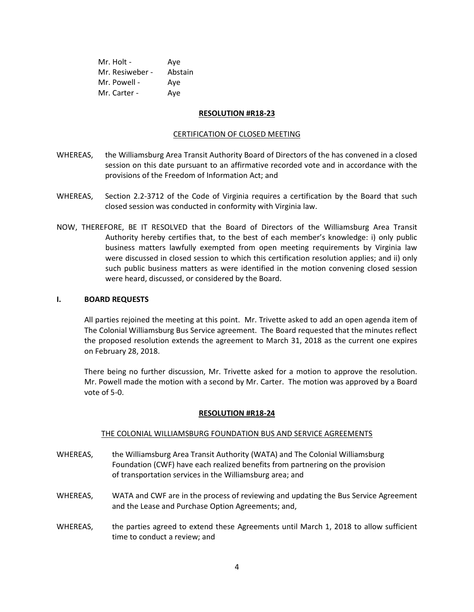| Mr. Holt -      | Aye     |
|-----------------|---------|
| Mr. Resiweber - | Abstain |
| Mr. Powell -    | Aye     |
| Mr. Carter -    | Ave     |

### RESOLUTION #R18-23

### CERTIFICATION OF CLOSED MEETING

- WHEREAS, the Williamsburg Area Transit Authority Board of Directors of the has convened in a closed session on this date pursuant to an affirmative recorded vote and in accordance with the provisions of the Freedom of Information Act; and
- WHEREAS, Section 2.2-3712 of the Code of Virginia requires a certification by the Board that such closed session was conducted in conformity with Virginia law.
- NOW, THEREFORE, BE IT RESOLVED that the Board of Directors of the Williamsburg Area Transit Authority hereby certifies that, to the best of each member's knowledge: i) only public business matters lawfully exempted from open meeting requirements by Virginia law were discussed in closed session to which this certification resolution applies; and ii) only such public business matters as were identified in the motion convening closed session were heard, discussed, or considered by the Board.

### I. BOARD REQUESTS

All parties rejoined the meeting at this point. Mr. Trivette asked to add an open agenda item of The Colonial Williamsburg Bus Service agreement. The Board requested that the minutes reflect the proposed resolution extends the agreement to March 31, 2018 as the current one expires on February 28, 2018.

There being no further discussion, Mr. Trivette asked for a motion to approve the resolution. Mr. Powell made the motion with a second by Mr. Carter. The motion was approved by a Board vote of 5-0.

### RESOLUTION #R18-24

## THE COLONIAL WILLIAMSBURG FOUNDATION BUS AND SERVICE AGREEMENTS

- WHEREAS, the Williamsburg Area Transit Authority (WATA) and The Colonial Williamsburg Foundation (CWF) have each realized benefits from partnering on the provision of transportation services in the Williamsburg area; and
- WHEREAS, WATA and CWF are in the process of reviewing and updating the Bus Service Agreement and the Lease and Purchase Option Agreements; and,
- WHEREAS, the parties agreed to extend these Agreements until March 1, 2018 to allow sufficient time to conduct a review; and